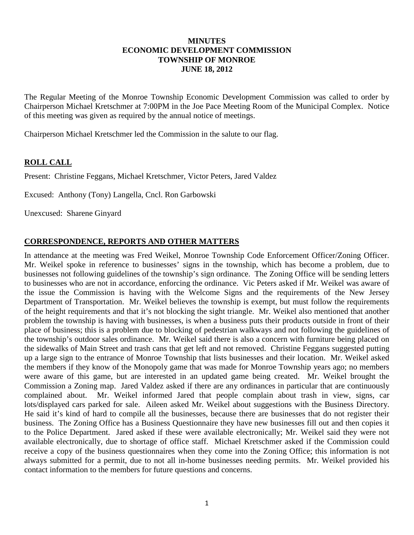### **MINUTES ECONOMIC DEVELOPMENT COMMISSION TOWNSHIP OF MONROE JUNE 18, 2012**

The Regular Meeting of the Monroe Township Economic Development Commission was called to order by Chairperson Michael Kretschmer at 7:00PM in the Joe Pace Meeting Room of the Municipal Complex. Notice of this meeting was given as required by the annual notice of meetings.

Chairperson Michael Kretschmer led the Commission in the salute to our flag.

# **ROLL CALL**

Present: Christine Feggans, Michael Kretschmer, Victor Peters, Jared Valdez

Excused: Anthony (Tony) Langella, Cncl. Ron Garbowski

Unexcused: Sharene Ginyard

# **CORRESPONDENCE, REPORTS AND OTHER MATTERS**

In attendance at the meeting was Fred Weikel, Monroe Township Code Enforcement Officer/Zoning Officer. Mr. Weikel spoke in reference to businesses' signs in the township, which has become a problem, due to businesses not following guidelines of the township's sign ordinance. The Zoning Office will be sending letters to businesses who are not in accordance, enforcing the ordinance. Vic Peters asked if Mr. Weikel was aware of the issue the Commission is having with the Welcome Signs and the requirements of the New Jersey Department of Transportation. Mr. Weikel believes the township is exempt, but must follow the requirements of the height requirements and that it's not blocking the sight triangle. Mr. Weikel also mentioned that another problem the township is having with businesses, is when a business puts their products outside in front of their place of business; this is a problem due to blocking of pedestrian walkways and not following the guidelines of the township's outdoor sales ordinance. Mr. Weikel said there is also a concern with furniture being placed on the sidewalks of Main Street and trash cans that get left and not removed. Christine Feggans suggested putting up a large sign to the entrance of Monroe Township that lists businesses and their location. Mr. Weikel asked the members if they know of the Monopoly game that was made for Monroe Township years ago; no members were aware of this game, but are interested in an updated game being created. Mr. Weikel brought the Commission a Zoning map. Jared Valdez asked if there are any ordinances in particular that are continuously complained about. Mr. Weikel informed Jared that people complain about trash in view, signs, car lots/displayed cars parked for sale. Aileen asked Mr. Weikel about suggestions with the Business Directory. He said it's kind of hard to compile all the businesses, because there are businesses that do not register their business. The Zoning Office has a Business Questionnaire they have new businesses fill out and then copies it to the Police Department. Jared asked if these were available electronically; Mr. Weikel said they were not available electronically, due to shortage of office staff. Michael Kretschmer asked if the Commission could receive a copy of the business questionnaires when they come into the Zoning Office; this information is not always submitted for a permit, due to not all in-home businesses needing permits. Mr. Weikel provided his contact information to the members for future questions and concerns.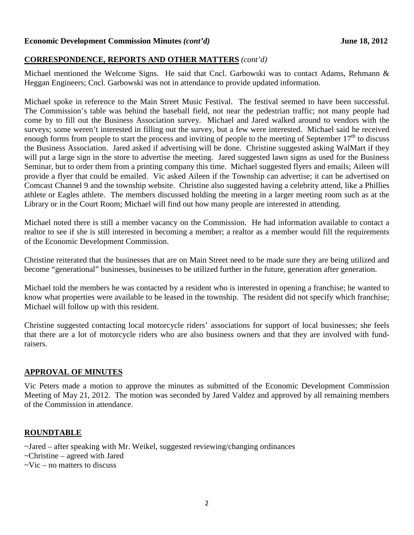#### **Economic Development Commission Minutes** *(cont'd)* **June 18, 2012**

## **CORRESPONDENCE, REPORTS AND OTHER MATTERS** *(cont'd)*

Michael mentioned the Welcome Signs. He said that Cncl. Garbowski was to contact Adams, Rehmann & Heggan Engineers; Cncl. Garbowski was not in attendance to provide updated information.

Michael spoke in reference to the Main Street Music Festival. The festival seemed to have been successful. The Commission's table was behind the baseball field, not near the pedestrian traffic; not many people had come by to fill out the Business Association survey. Michael and Jared walked around to vendors with the surveys; some weren't interested in filling out the survey, but a few were interested. Michael said he received enough forms from people to start the process and inviting of people to the meeting of September  $17<sup>th</sup>$  to discuss the Business Association. Jared asked if advertising will be done. Christine suggested asking WalMart if they will put a large sign in the store to advertise the meeting. Jared suggested lawn signs as used for the Business Seminar, but to order them from a printing company this time. Michael suggested flyers and emails; Aileen will provide a flyer that could be emailed. Vic asked Aileen if the Township can advertise; it can be advertised on Comcast Channel 9 and the township website. Christine also suggested having a celebrity attend, like a Phillies athlete or Eagles athlete. The members discussed holding the meeting in a larger meeting room such as at the Library or in the Court Room; Michael will find out how many people are interested in attending.

Michael noted there is still a member vacancy on the Commission. He had information available to contact a realtor to see if she is still interested in becoming a member; a realtor as a member would fill the requirements of the Economic Development Commission.

Christine reiterated that the businesses that are on Main Street need to be made sure they are being utilized and become "generational" businesses, businesses to be utilized further in the future, generation after generation.

Michael told the members he was contacted by a resident who is interested in opening a franchise; he wanted to know what properties were available to be leased in the township. The resident did not specify which franchise; Michael will follow up with this resident.

Christine suggested contacting local motorcycle riders' associations for support of local businesses; she feels that there are a lot of motorcycle riders who are also business owners and that they are involved with fundraisers.

### **APPROVAL OF MINUTES**

Vic Peters made a motion to approve the minutes as submitted of the Economic Development Commission Meeting of May 21, 2012. The motion was seconded by Jared Valdez and approved by all remaining members of the Commission in attendance.

### **ROUNDTABLE**

~Jared – after speaking with Mr. Weikel, suggested reviewing/changing ordinances

- ~Christine agreed with Jared
- $\sim$ Vic no matters to discuss